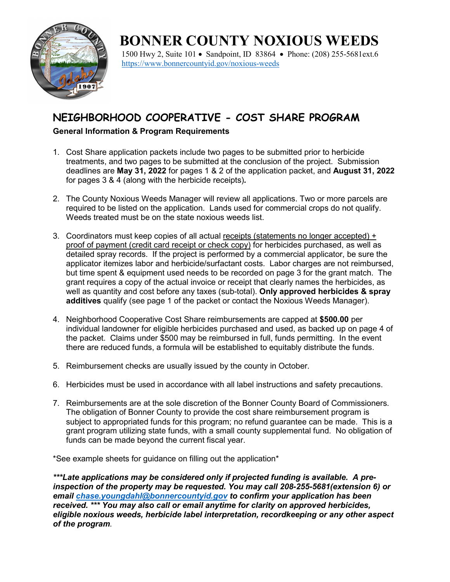

# **BONNER COUNTY NOXIOUS WEEDS**

1500 Hwy 2, Suite 101 • Sandpoint, ID 83864 • Phone: (208) 255-5681ext.6 <https://www.bonnercountyid.gov/noxious-weeds>

## **NEIGHBORHOOD COOPERATIVE - COST SHARE PROGRAM**

#### **General Information & Program Requirements**

- 1. Cost Share application packets include two pages to be submitted prior to herbicide treatments, and two pages to be submitted at the conclusion of the project. Submission deadlines are **May 31, 2022** for pages 1 & 2 of the application packet, and **August 31, 2022** for pages 3 & 4 (along with the herbicide receipts)*.*
- 2. The County Noxious Weeds Manager will review all applications. Two or more parcels are required to be listed on the application. Lands used for commercial crops do not qualify. Weeds treated must be on the state noxious weeds list.
- 3. Coordinators must keep copies of all actual receipts (statements no longer accepted) + proof of payment (credit card receipt or check copy) for herbicides purchased, as well as detailed spray records. If the project is performed by a commercial applicator, be sure the applicator itemizes labor and herbicide/surfactant costs. Labor charges are not reimbursed, but time spent & equipment used needs to be recorded on page 3 for the grant match. The grant requires a copy of the actual invoice or receipt that clearly names the herbicides, as well as quantity and cost before any taxes (sub-total). **Only approved herbicides & spray additives** qualify (see page 1 of the packet or contact the Noxious Weeds Manager).
- 4. Neighborhood Cooperative Cost Share reimbursements are capped at **\$500.00** per individual landowner for eligible herbicides purchased and used, as backed up on page 4 of the packet. Claims under \$500 may be reimbursed in full, funds permitting. In the event there are reduced funds, a formula will be established to equitably distribute the funds.
- 5. Reimbursement checks are usually issued by the county in October.
- 6. Herbicides must be used in accordance with all label instructions and safety precautions.
- 7. Reimbursements are at the sole discretion of the Bonner County Board of Commissioners. The obligation of Bonner County to provide the cost share reimbursement program is subject to appropriated funds for this program; no refund guarantee can be made. This is a grant program utilizing state funds, with a small county supplemental fund. No obligation of funds can be made beyond the current fiscal year.

\*See example sheets for guidance on filling out the application\*

*\*\*\*Late applications may be considered only if projected funding is available. A preinspection of the property may be requested. You may call 208-255-5681(extension 6) or email [chase.youngdahl@bonnercountyid.gov](mailto:chase.youngdahl@bonnercountyid.gov) to confirm your application has been received. \*\*\* You may also call or email anytime for clarity on approved herbicides, eligible noxious weeds, herbicide label interpretation, recordkeeping or any other aspect of the program.*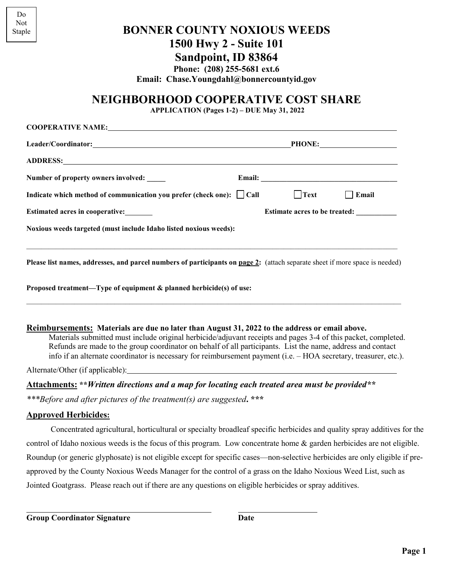| Do.    |
|--------|
| Not    |
| Staple |

### **BONNER COUNTY NOXIOUS WEEDS 1500 Hwy 2 - Suite 101**

## **Sandpoint, ID 83864**

**Phone: (208) 255-5681 ext.6**

**Email: Chase.Youngdahl@bonnercountyid.gov**

## **NEIGHBORHOOD COOPERATIVE COST SHARE**

**APPLICATION (Pages 1-2) – DUE May 31, 2022**

| Number of property owners involved: _____                                                                                                                                                                                                                                                                                                                                                                                                           |                                      |              |
|-----------------------------------------------------------------------------------------------------------------------------------------------------------------------------------------------------------------------------------------------------------------------------------------------------------------------------------------------------------------------------------------------------------------------------------------------------|--------------------------------------|--------------|
| Indicate which method of communication you prefer (check one): $\Box$ Call                                                                                                                                                                                                                                                                                                                                                                          | $\Box$ Text                          | $\Box$ Email |
| Estimated acres in cooperative:                                                                                                                                                                                                                                                                                                                                                                                                                     | <b>Estimate acres to be treated:</b> |              |
| Noxious weeds targeted (must include Idaho listed noxious weeds):                                                                                                                                                                                                                                                                                                                                                                                   |                                      |              |
| Please list names, addresses, and parcel numbers of participants on page 2: (attach separate sheet if more space is needed)                                                                                                                                                                                                                                                                                                                         |                                      |              |
| Proposed treatment—Type of equipment & planned herbicide(s) of use:                                                                                                                                                                                                                                                                                                                                                                                 |                                      |              |
| Reimbursements: Materials are due no later than August 31, 2022 to the address or email above.<br>Materials submitted must include original herbicide/adjuvant receipts and pages 3-4 of this packet, completed.<br>Refunds are made to the group coordinator on behalf of all participants. List the name, address and contact<br>info if an alternate coordinator is necessary for reimbursement payment (i.e. - HOA secretary, treasurer, etc.). |                                      |              |
| Alternate/Other (if applicable): Manual Content of the Content of the Content of the Content of the Content of                                                                                                                                                                                                                                                                                                                                      |                                      |              |
| Attachments: ** Written directions and a map for locating each treated area must be provided**                                                                                                                                                                                                                                                                                                                                                      |                                      |              |
| ***Before and after pictures of the treatment(s) are suggested. ***                                                                                                                                                                                                                                                                                                                                                                                 |                                      |              |
| <b>Approved Herbicides:</b>                                                                                                                                                                                                                                                                                                                                                                                                                         |                                      |              |
| Concentrated agricultural, horticultural or specialty broadleaf specific herbicides and quality spray additives for the                                                                                                                                                                                                                                                                                                                             |                                      |              |

control of Idaho noxious weeds is the focus of this program. Low concentrate home & garden herbicides are not eligible. Roundup (or generic glyphosate) is not eligible except for specific cases—non-selective herbicides are only eligible if preapproved by the County Noxious Weeds Manager for the control of a grass on the Idaho Noxious Weed List, such as Jointed Goatgrass. Please reach out if there are any questions on eligible herbicides or spray additives.

**Group Coordinator Signature Date**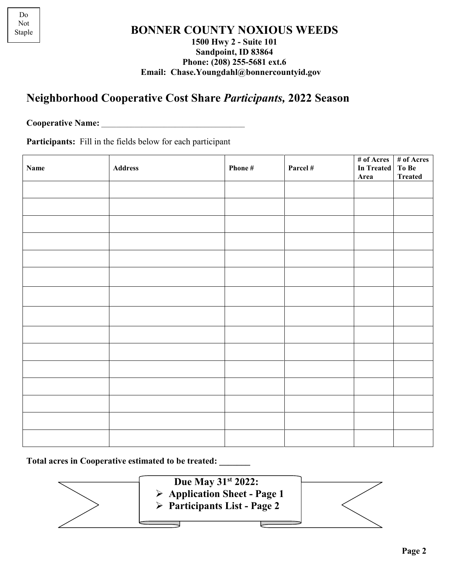#### **BONNER COUNTY NOXIOUS WEEDS 1500 Hwy 2 - Suite 101 Sandpoint, ID 83864 Phone: (208) 255-5681 ext.6 Email: Chase.Youngdahl@bonnercountyid.gov**

## **Neighborhood Cooperative Cost Share** *Participants,* **2022 Season**

**Cooperative Name:**  $\blacksquare$ 

**Participants:** Fill in the fields below for each participant

| <b>Name</b> | Address | Phone # | Parcel # | In Treated To Be | # of Acres   # of Acres |
|-------------|---------|---------|----------|------------------|-------------------------|
|             |         |         |          | Area             | <b>Treated</b>          |
|             |         |         |          |                  |                         |
|             |         |         |          |                  |                         |
|             |         |         |          |                  |                         |
|             |         |         |          |                  |                         |
|             |         |         |          |                  |                         |
|             |         |         |          |                  |                         |
|             |         |         |          |                  |                         |
|             |         |         |          |                  |                         |
|             |         |         |          |                  |                         |
|             |         |         |          |                  |                         |
|             |         |         |          |                  |                         |
|             |         |         |          |                  |                         |
|             |         |         |          |                  |                         |
|             |         |         |          |                  |                         |
|             |         |         |          |                  |                         |

**Total acres in Cooperative estimated to be treated: \_\_\_\_\_\_\_**

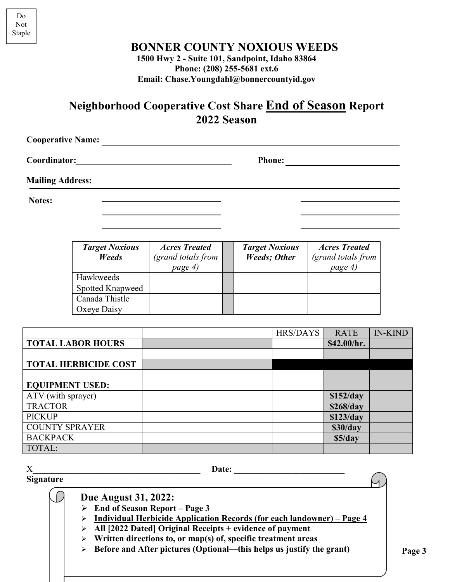$\overline{\mathcal{A}}$ 

**BONNER COUNTY NOXIOUS WEEDS**

**1500 Hwy 2 - Suite 101, Sandpoint, Idaho 83864 Phone: (208) 255-5681 ext.6 Email: Chase.Youngdahl@bonnercountyid.gov**

**Neighborhood Cooperative Cost Share End of Season Report 2022 Season**

| <b>Cooperative Name:</b>                                                                                                                    |               |  |
|---------------------------------------------------------------------------------------------------------------------------------------------|---------------|--|
| <b>Coordinator:</b><br><u> 1980 - Jan Stein Berlin, amerikan berlin besteht als der stadt andere som beste andere som beste andere som </u> | <b>Phone:</b> |  |
| <b>Mailing Address:</b>                                                                                                                     |               |  |
| Notes:                                                                                                                                      |               |  |
|                                                                                                                                             |               |  |

| <b>Target Noxious</b><br>Weeds | <b>Acres Treated</b><br>(grand totals from<br>page 4) | <b>Target Noxious</b><br><b>Weeds</b> ; Other | <b>Acres Treated</b><br>(grand totals from<br>page 4) |
|--------------------------------|-------------------------------------------------------|-----------------------------------------------|-------------------------------------------------------|
| Hawkweeds                      |                                                       |                                               |                                                       |
| Spotted Knapweed               |                                                       |                                               |                                                       |
| Canada Thistle                 |                                                       |                                               |                                                       |
| Oxeye Daisy                    |                                                       |                                               |                                                       |

|                             | <b>HRS/DAYS</b> | <b>RATE</b> | <b>IN-KIND</b> |
|-----------------------------|-----------------|-------------|----------------|
| <b>TOTAL LABOR HOURS</b>    |                 | \$42.00/hr. |                |
|                             |                 |             |                |
| <b>TOTAL HERBICIDE COST</b> |                 |             |                |
|                             |                 |             |                |
| <b>EQUIPMENT USED:</b>      |                 |             |                |
| ATV (with sprayer)          |                 | \$152/day   |                |
| <b>TRACTOR</b>              |                 | \$268/day   |                |
| <b>PICKUP</b>               |                 | \$123/day   |                |
| <b>COUNTY SPRAYER</b>       |                 | \$30/day    |                |
| <b>BACKPACK</b>             |                 | \$5/day     |                |
| TOTAL:                      |                 |             |                |

**Signature**

X Date:

 **Due August 31, 2022:**

**End of Season Report – Page 3**

- **Individual Herbicide Application Records (for each landowner) – Page 4**
- **All [2022 Dated] Original Receipts + evidence of payment**
- **Written directions to, or map(s) of, specific treatment areas**
- **Before and After pictures (Optional—this helps us justify the grant)**

Do Not Staple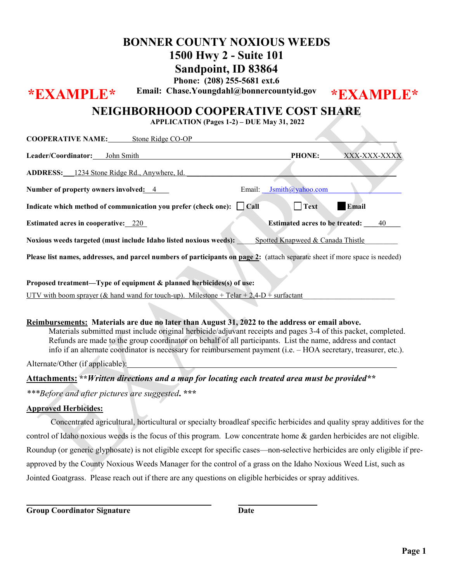# **BONNER COUNTY NOXIOUS WEEDS**

# **1500 Hwy 2 - Suite 101**

**Sandpoint, ID 83864 Phone: (208) 255-5681 ext.6**

**Email: Chase.Youngdahl@bonnercountyid.gov \*EXAMPLE\* \*EXAMPLE\***

### **NEIGHBORHOOD COOPERATIVE COST SHARE**

**APPLICATION (Pages 1-2) – DUE May 31, 2022**

| COOI EINATIVE INAMIE, SIGHT KIUGE CO-OI                                                                                     |                                       |              |
|-----------------------------------------------------------------------------------------------------------------------------|---------------------------------------|--------------|
| Leader/Coordinator: John Smith                                                                                              | <b>PHONE:</b>                         | XXX-XXX-XXXX |
| ADDRESS: 1234 Stone Ridge Rd., Anywhere, Id.                                                                                |                                       |              |
| Number of property owners involved: 4                                                                                       | Email: <b>Jsmith</b> @yahoo.com       |              |
| Indicate which method of communication you prefer (check one): $\Box$ Call                                                  | <b>Text</b>                           | Email        |
| <b>Estimated acres in cooperative:</b> 220                                                                                  | <b>Estimated acres to be treated:</b> | 40           |
| Noxious weeds targeted (must include Idaho listed noxious weeds):                                                           | Spotted Knapweed & Canada Thistle     |              |
| Please list names, addresses, and parcel numbers of participants on page 2: (attach separate sheet if more space is needed) |                                       |              |
| Proposed treatment—Type of equipment & planned herbicides(s) of use:                                                        |                                       |              |

UTV with boom sprayer (& hand wand for touch-up). Milestone + Telar + 2,4-D + surfactant

#### **Reimbursements: Materials are due no later than August 31, 2022 to the address or email above.**

 Materials submitted must include original herbicide/adjuvant receipts and pages 3-4 of this packet, completed. Refunds are made to the group coordinator on behalf of all participants. List the name, address and contact info if an alternate coordinator is necessary for reimbursement payment (i.e. – HOA secretary, treasurer, etc.).

Alternate/Other (if applicable):

## **Attachments: \*\****Written directions and a map for locating each treated area must be provided\*\**

*\*\*\*Before and after pictures are suggested***. \*\*\***

**COOPERATIVE NAME:** Stone Ridge CO-OP

#### **Approved Herbicides:**

Concentrated agricultural, horticultural or specialty broadleaf specific herbicides and quality spray additives for the control of Idaho noxious weeds is the focus of this program. Low concentrate home & garden herbicides are not eligible. Roundup (or generic glyphosate) is not eligible except for specific cases—non-selective herbicides are only eligible if preapproved by the County Noxious Weeds Manager for the control of a grass on the Idaho Noxious Weed List, such as Jointed Goatgrass. Please reach out if there are any questions on eligible herbicides or spray additives.

**Group Coordinator Signature Date**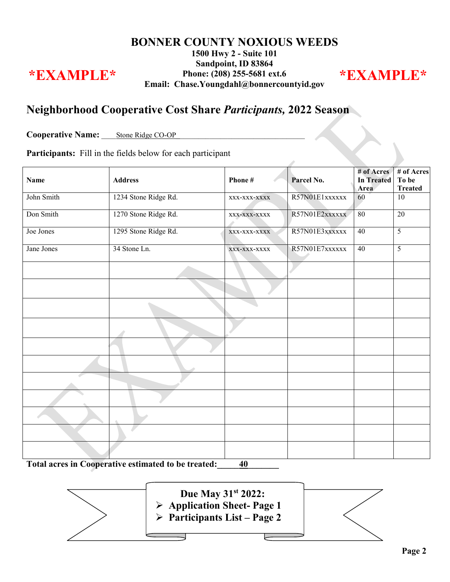#### **BONNER COUNTY NOXIOUS WEEDS 1500 Hwy 2 - Suite 101 Sandpoint, ID 83864 Phone: (208) 255-5681 ext.6 Email: Chase.Youngdahl@bonnercountyid.gov \*EXAMPLE\* \*EXAMPLE\***

### **Neighborhood Cooperative Cost Share** *Participants,* **2022 Season**

Cooperative Name: Stone Ridge CO-OP\_

**Participants:** Fill in the fields below for each participant

| <b>Name</b> | <b>Address</b>       | Phone#                               | Parcel No.     | # of Acres<br><b>In Treated</b><br>Area | # of Acres<br>To be<br><b>Treated</b> |
|-------------|----------------------|--------------------------------------|----------------|-----------------------------------------|---------------------------------------|
| John Smith  | 1234 Stone Ridge Rd. | R57N01E1xxxxxx<br>60<br>XXX-XXX-XXXX |                |                                         | $\overline{10}$                       |
| Don Smith   | 1270 Stone Ridge Rd. | $XXX-XXX-XXXX$                       | R57N01E2xxxxxx | 80                                      | $\overline{20}$                       |
| Joe Jones   | 1295 Stone Ridge Rd. | XXX-XXX-XXXX                         | R57N01E3xxxxxx | 40                                      | $\overline{5}$                        |
| Jane Jones  | 34 Stone Ln.         | XXX-XXX-XXXX                         | R57N01E7xxxxxx | 40                                      | $\overline{5}$                        |
|             |                      |                                      |                |                                         |                                       |
|             |                      |                                      |                |                                         |                                       |
|             |                      |                                      |                |                                         |                                       |
|             |                      |                                      |                |                                         |                                       |
|             |                      |                                      |                |                                         |                                       |
|             |                      |                                      |                |                                         |                                       |
|             |                      |                                      |                |                                         |                                       |
|             |                      |                                      |                |                                         |                                       |
|             |                      |                                      |                |                                         |                                       |
|             |                      |                                      |                |                                         |                                       |
|             |                      |                                      |                |                                         |                                       |

**Total acres in Cooperative estimated to be treated:\_\_\_\_\_40\_\_\_\_\_\_\_**

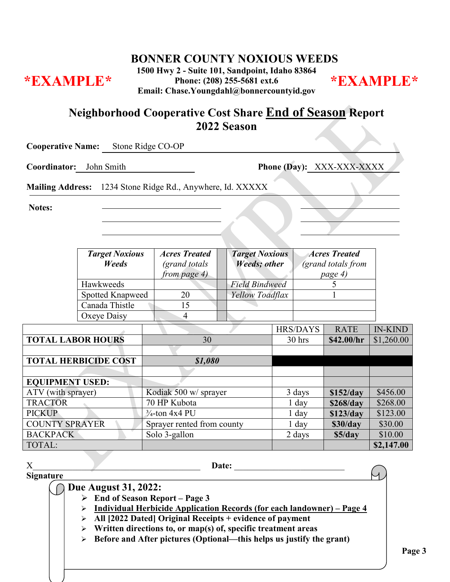**BONNER COUNTY NOXIOUS WEEDS**

**1500 Hwy 2 - Suite 101, Sandpoint, Idaho 83864 Phone: (208) 255-5681 ext.6 Email: Chase.Youngdahl@bonnercountyid.gov \*EXAMPLE\* \*EXAMPLE\***



### **Neighborhood Cooperative Cost Share End of Season Report 2022 Season**

**Cooperative Name:** Stone Ridge CO-OP

**Coordinator:** John Smith **Phone (Day):** XXX-XXX-XXXX

**Mailing Address:** 1234 Stone Ridge Rd., Anywhere, Id. XXXXX

**Notes:**

| <b>Target Noxious</b><br><b>Weeds</b> | <b>Acres Treated</b><br>(grand totals<br>from page 4) | <b>Target Noxious</b><br><b>Weeds</b> ; other | <b>Acres Treated</b><br>(grand totals from<br>page 4) |
|---------------------------------------|-------------------------------------------------------|-----------------------------------------------|-------------------------------------------------------|
| Hawkweeds                             |                                                       | <b>Field Bindweed</b>                         |                                                       |
| <b>Spotted Knapweed</b>               | 20                                                    | Yellow Toadflax                               |                                                       |
| Canada Thistle                        |                                                       |                                               |                                                       |
| Oxeye Daisy                           |                                                       |                                               |                                                       |

|                             |                            | <b>HRS/DAYS</b> | <b>RATE</b> | <b>IN-KIND</b> |
|-----------------------------|----------------------------|-----------------|-------------|----------------|
| <b>TOTAL LABOR HOURS</b>    | 30                         | $30$ hrs        | \$42.00/hr  | \$1,260.00     |
|                             |                            |                 |             |                |
| <b>TOTAL HERBICIDE COST</b> | \$1,080                    |                 |             |                |
|                             |                            |                 |             |                |
| <b>EQUIPMENT USED:</b>      |                            |                 |             |                |
| ATV (with sprayer)          | Kodiak 500 w/ sprayer      | 3 days          | \$152/day   | \$456.00       |
| <b>TRACTOR</b>              | 70 HP Kubota               | $1 \,$ day      | \$268/day   | \$268.00       |
| <b>PICKUP</b>               | $\frac{3}{4}$ -ton 4x4 PU  | $1$ day         | \$123/day   | \$123.00       |
| <b>COUNTY SPRAYER</b>       | Sprayer rented from county | $1$ day         | \$30/day    | \$30.00        |
| <b>BACKPACK</b>             | Solo 3-gallon              | 2 days          | \$5/day     | \$10.00        |
| TOTAL:                      |                            |                 |             | \$2,147.00     |

X Date:

**Signature**

**Due August 31, 2022:**

**End of Season Report – Page 3**

**Individual Herbicide Application Records (for each landowner) – Page 4**

**All [2022 Dated] Original Receipts + evidence of payment**

**Written directions to, or map(s) of, specific treatment areas**

**Before and After pictures (Optional—this helps us justify the grant)**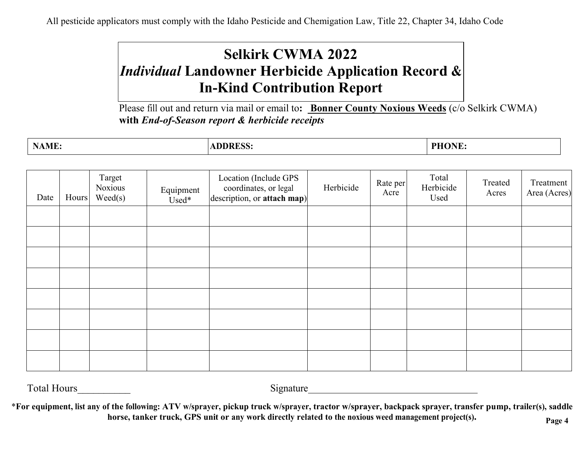All pesticide applicators must comply with the Idaho Pesticide and Chemigation Law, Title 22, Chapter 34, Idaho Code

# **Selkirk CWMA 2022** *Individual* **Landowner Herbicide Application Record & In-Kind Contribution Report**

Please fill out and return via mail or email to**: Bonner County Noxious Weeds** (c/o Selkirk CWMA) **with** *End-of-Season report & herbicide receipts*

| $\mathbf{X}$<br><b>NAME:</b> | <b>ADDRESS:</b> | <b>PHONE</b><br>J R'I<br>. تله: |
|------------------------------|-----------------|---------------------------------|
|                              |                 |                                 |

| Date | Hours | Target<br>Noxious<br>Weed(s) | Equipment<br>Used* | Location (Include GPS<br>coordinates, or legal<br>$\left $ description, or attach map) | Herbicide | Rate per<br>Acre | Total<br>Herbicide<br>Used | Treated<br>Acres | Treatment<br>Area (Acres) |
|------|-------|------------------------------|--------------------|----------------------------------------------------------------------------------------|-----------|------------------|----------------------------|------------------|---------------------------|
|      |       |                              |                    |                                                                                        |           |                  |                            |                  |                           |
|      |       |                              |                    |                                                                                        |           |                  |                            |                  |                           |
|      |       |                              |                    |                                                                                        |           |                  |                            |                  |                           |
|      |       |                              |                    |                                                                                        |           |                  |                            |                  |                           |
|      |       |                              |                    |                                                                                        |           |                  |                            |                  |                           |
|      |       |                              |                    |                                                                                        |           |                  |                            |                  |                           |
|      |       |                              |                    |                                                                                        |           |                  |                            |                  |                           |
|      |       |                              |                    |                                                                                        |           |                  |                            |                  |                           |

Total Hours Signature

\*For equipment, list any of the following: ATV w/sprayer, pickup truck w/sprayer, tractor w/sprayer, backpack sprayer, transfer pump, trailer(s), saddle **horse, tanker truck, GPS unit or any work directly related to the noxious weed management project(s). Page 4**